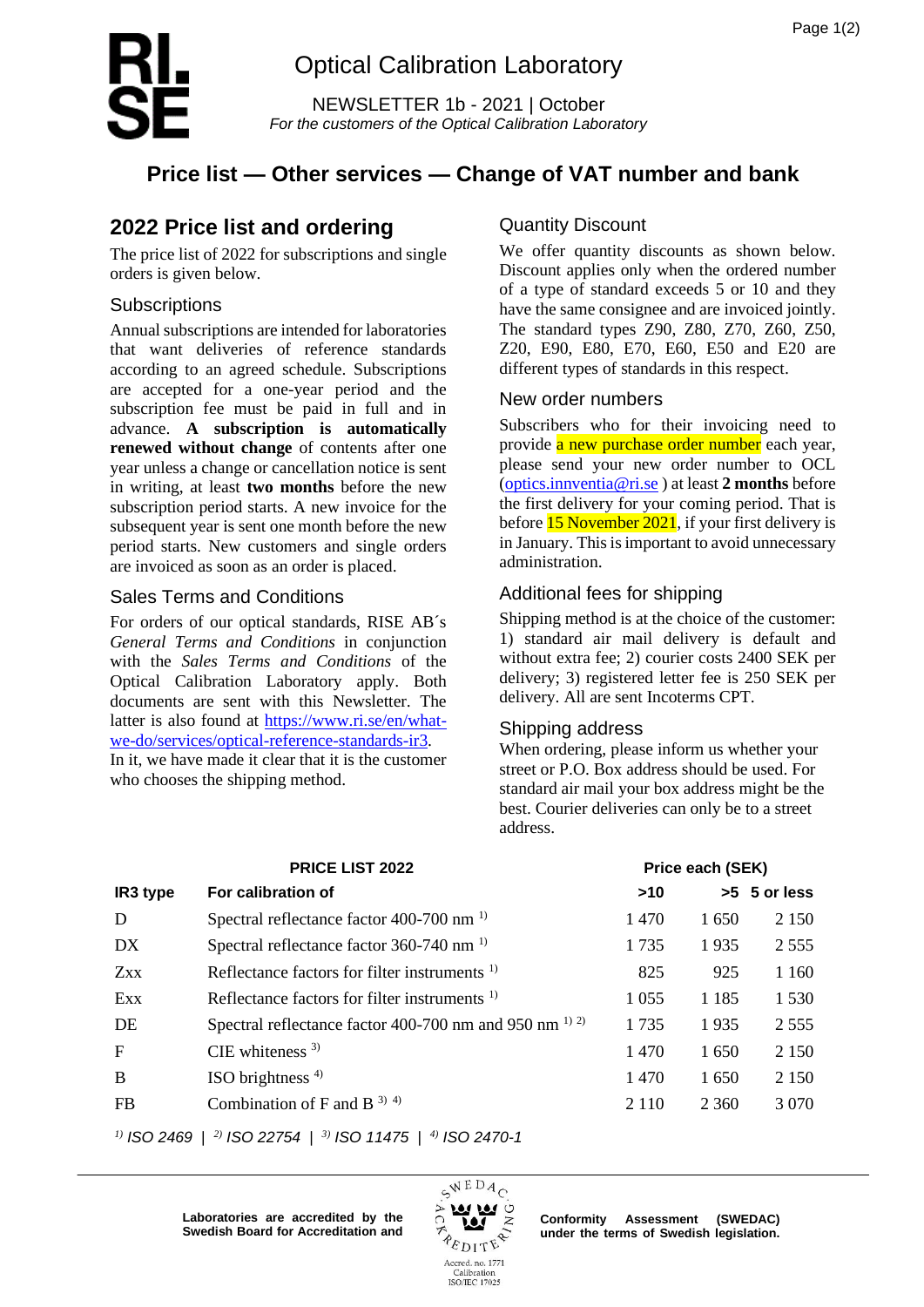

# Optical Calibration Laboratory

NEWSLETTER 1b - 2021 | October *For the customers of the Optical Calibration Laboratory*

# **Price list — Other services — Change of VAT number and bank**

## **2022 Price list and ordering**

The price list of 2022 for subscriptions and single orders is given below.

### **Subscriptions**

Annual subscriptions are intended for laboratories that want deliveries of reference standards according to an agreed schedule. Subscriptions are accepted for a one-year period and the subscription fee must be paid in full and in advance. **A subscription is automatically renewed without change** of contents after one year unless a change or cancellation notice is sent in writing, at least **two months** before the new subscription period starts. A new invoice for the subsequent year is sent one month before the new period starts. New customers and single orders are invoiced as soon as an order is placed.

### Sales Terms and Conditions

For orders of our optical standards, RISE AB´s *General Terms and Conditions* in conjunction with the *Sales Terms and Conditions* of the Optical Calibration Laboratory apply. Both documents are sent with this Newsletter. The latter is also found at [https://www.ri.se/en/what](https://www.ri.se/en/what-we-do/services/optical-reference-standards-ir3)[we-do/services/optical-reference-standards-ir3.](https://www.ri.se/en/what-we-do/services/optical-reference-standards-ir3) In it, we have made it clear that it is the customer

who chooses the shipping method.

### Quantity Discount

We offer quantity discounts as shown below. Discount applies only when the ordered number of a type of standard exceeds 5 or 10 and they have the same consignee and are invoiced jointly. The standard types Z90, Z80, Z70, Z60, Z50, Z20, E90, E80, E70, E60, E50 and E20 are different types of standards in this respect.

### New order numbers

Subscribers who for their invoicing need to provide a new purchase order number each year, please send your new order number to OCL [\(optics.innventia@ri.se](mailto:optics.innventia@ri.se) ) at least **2 months** before the first delivery for your coming period. That is before **15 November 2021**, if your first delivery is in January. This is important to avoid unnecessary administration.

### Additional fees for shipping

Shipping method is at the choice of the customer: 1) standard air mail delivery is default and without extra fee; 2) courier costs 2400 SEK per delivery; 3) registered letter fee is 250 SEK per delivery. All are sent Incoterms CPT.

### Shipping address

When ordering, please inform us whether your street or P.O. Box address should be used. For standard air mail your box address might be the best. Courier deliveries can only be to a street address.

|              | <b>PRICE LIST 2022</b>                                     |         | Price each (SEK) |              |  |
|--------------|------------------------------------------------------------|---------|------------------|--------------|--|
| IR3 type     | For calibration of                                         | >10     |                  | >5 5 or less |  |
| D            | Spectral reflectance factor 400-700 nm <sup>1)</sup>       | 1470    | 1650             | 2 1 5 0      |  |
| DX.          | Spectral reflectance factor 360-740 nm <sup>1)</sup>       | 1735    | 1935             | 2 5 5 5      |  |
| <b>Zxx</b>   | Reflectance factors for filter instruments $1$             | 825     | 925              | 1 1 6 0      |  |
| Exx          | Reflectance factors for filter instruments <sup>1)</sup>   | 1 0 5 5 | 1 1 8 5          | 1 5 3 0      |  |
| DE           | Spectral reflectance factor 400-700 nm and 950 nm $^{1/2}$ | 1735    | 1935             | 2 5 5 5      |  |
| $\mathbf{F}$ | CIE whiteness $3$ )                                        | 1470    | 1650             | 2 1 5 0      |  |
| B            | ISO brightness $4$ )                                       | 1 470   | 1650             | 2 1 5 0      |  |
| FB           | Combination of F and B $^{3)}$ <sup>4)</sup>               | 2 1 1 0 | 2 3 6 0          | 3 0 7 0      |  |
|              |                                                            |         |                  |              |  |

*1) ISO 2469* | *2) ISO 22754* | *3) ISO 11475* | *4) ISO 2470-1*

 $6WEDA_C$  $\frac{a}{z}$ **PEDITE** Accred. no. 1771

Calibration<br>ISO/IEC 17025

**Laboratories are accredited by the Swedish Board for Accreditation and**